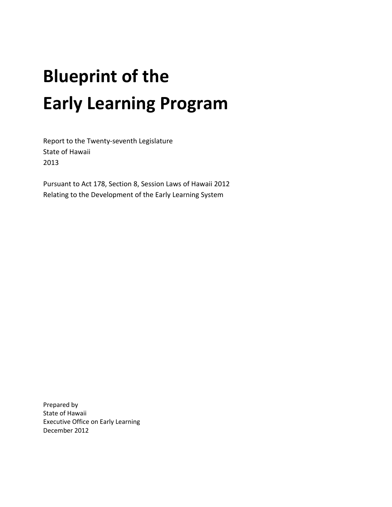# **Blueprint of the Early Learning Program**

Report to the Twenty-seventh Legislature State of Hawaii 2013

Pursuant to Act 178, Section 8, Session Laws of Hawaii 2012 Relating to the Development of the Early Learning System

Prepared by State of Hawaii Executive Office on Early Learning December 2012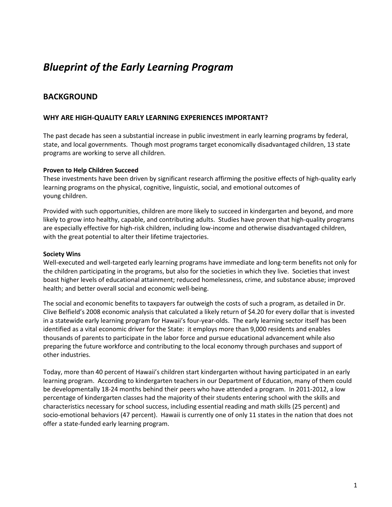# *Blueprint of the Early Learning Program*

# **BACKGROUND**

# **WHY ARE HIGH-QUALITY EARLY LEARNING EXPERIENCES IMPORTANT?**

The past decade has seen a substantial increase in public investment in early learning programs by federal, state, and local governments. Though most programs target economically disadvantaged children, 13 state programs are working to serve all children.

# **Proven to Help Children Succeed**

These investments have been driven by significant research affirming the positive effects of high-quality early learning programs on the physical, cognitive, linguistic, social, and emotional outcomes of young children.

Provided with such opportunities, children are more likely to succeed in kindergarten and beyond, and more likely to grow into healthy, capable, and contributing adults. Studies have proven that high-quality programs are especially effective for high-risk children, including low-income and otherwise disadvantaged children, with the great potential to alter their lifetime trajectories.

#### **Society Wins**

Well-executed and well-targeted early learning programs have immediate and long-term benefits not only for the children participating in the programs, but also for the societies in which they live. Societies that invest boast higher levels of educational attainment; reduced homelessness, crime, and substance abuse; improved health; and better overall social and economic well-being.

The social and economic benefits to taxpayers far outweigh the costs of such a program, as detailed in Dr. Clive Belfield's 2008 economic analysis that calculated a likely return of \$4.20 for every dollar that is invested in a statewide early learning program for Hawaii's four-year-olds. The early learning sector itself has been identified as a vital economic driver for the State: it employs more than 9,000 residents and enables thousands of parents to participate in the labor force and pursue educational advancement while also preparing the future workforce and contributing to the local economy through purchases and support of other industries.

Today, more than 40 percent of Hawaii's children start kindergarten without having participated in an early learning program. According to kindergarten teachers in our Department of Education, many of them could be developmentally 18-24 months behind their peers who have attended a program. In 2011-2012, a low percentage of kindergarten classes had the majority of their students entering school with the skills and characteristics necessary for school success, including essential reading and math skills (25 percent) and socio-emotional behaviors (47 percent). Hawaii is currently one of only 11 states in the nation that does not offer a state-funded early learning program.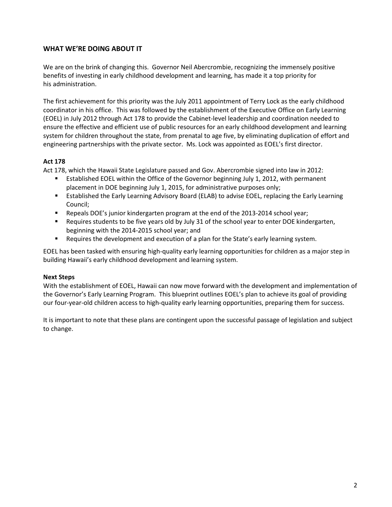# **WHAT WE'RE DOING ABOUT IT**

We are on the brink of changing this. Governor Neil Abercrombie, recognizing the immensely positive benefits of investing in early childhood development and learning, has made it a top priority for his administration.

The first achievement for this priority was the July 2011 appointment of Terry Lock as the early childhood coordinator in his office. This was followed by the establishment of the Executive Office on Early Learning (EOEL) in July 2012 through Act 178 to provide the Cabinet-level leadership and coordination needed to ensure the effective and efficient use of public resources for an early childhood development and learning system for children throughout the state, from prenatal to age five, by eliminating duplication of effort and engineering partnerships with the private sector. Ms. Lock was appointed as EOEL's first director.

# **Act 178**

Act 178, which the Hawaii State Legislature passed and Gov. Abercrombie signed into law in 2012:

- Established EOEL within the Office of the Governor beginning July 1, 2012, with permanent placement in DOE beginning July 1, 2015, for administrative purposes only;
- Established the Early Learning Advisory Board (ELAB) to advise EOEL, replacing the Early Learning Council;
- Repeals DOE's junior kindergarten program at the end of the 2013-2014 school year;
- Requires students to be five years old by July 31 of the school year to enter DOE kindergarten, beginning with the 2014-2015 school year; and
- **Requires the development and execution of a plan for the State's early learning system.**

EOEL has been tasked with ensuring high-quality early learning opportunities for children as a major step in building Hawaii's early childhood development and learning system.

# **Next Steps**

With the establishment of EOEL, Hawaii can now move forward with the development and implementation of the Governor's Early Learning Program. This blueprint outlines EOEL's plan to achieve its goal of providing our four-year-old children access to high-quality early learning opportunities, preparing them for success.

It is important to note that these plans are contingent upon the successful passage of legislation and subject to change.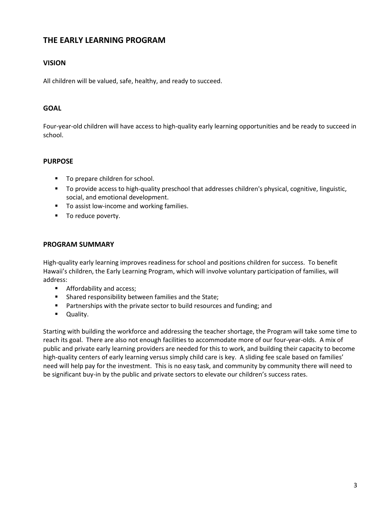# **THE EARLY LEARNING PROGRAM**

# **VISION**

All children will be valued, safe, healthy, and ready to succeed.

# **GOAL**

Four-year-old children will have access to high-quality early learning opportunities and be ready to succeed in school.

# **PURPOSE**

- To prepare children for school.
- To provide access to high-quality preschool that addresses children's physical, cognitive, linguistic, social, and emotional development.
- To assist low-income and working families.
- To reduce poverty.

# **PROGRAM SUMMARY**

High-quality early learning improves readiness for school and positions children for success. To benefit Hawaii's children, the Early Learning Program, which will involve voluntary participation of families, will address:

- **Affordability and access;**
- Shared responsibility between families and the State;
- **Partnerships with the private sector to build resources and funding; and**
- **Quality.**

Starting with building the workforce and addressing the teacher shortage, the Program will take some time to reach its goal. There are also not enough facilities to accommodate more of our four-year-olds. A mix of public and private early learning providers are needed for this to work, and building their capacity to become high-quality centers of early learning versus simply child care is key. A sliding fee scale based on families' need will help pay for the investment. This is no easy task, and community by community there will need to be significant buy-in by the public and private sectors to elevate our children's success rates.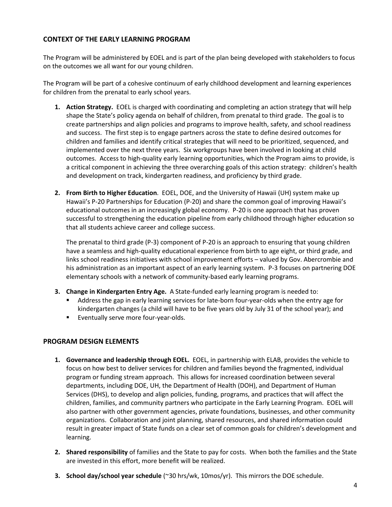# **CONTEXT OF THE EARLY LEARNING PROGRAM**

The Program will be administered by EOEL and is part of the plan being developed with stakeholders to focus on the outcomes we all want for our young children.

The Program will be part of a cohesive continuum of early childhood development and learning experiences for children from the prenatal to early school years.

- **1. Action Strategy.** EOEL is charged with coordinating and completing an action strategy that will help shape the State's policy agenda on behalf of children, from prenatal to third grade. The goal is to create partnerships and align policies and programs to improve health, safety, and school readiness and success. The first step is to engage partners across the state to define desired outcomes for children and families and identify critical strategies that will need to be prioritized, sequenced, and implemented over the next three years. Six workgroups have been involved in looking at child outcomes. Access to high-quality early learning opportunities, which the Program aims to provide, is a critical component in achieving the three overarching goals of this action strategy: children's health and development on track, kindergarten readiness, and proficiency by third grade.
- **2. From Birth to Higher Education**. EOEL, DOE, and the University of Hawaii (UH) system make up Hawaii's P-20 Partnerships for Education (P-20) and share the common goal of improving Hawaii's educational outcomes in an increasingly global economy. P-20 is one approach that has proven successful to strengthening the education pipeline from early childhood through higher education so that all students achieve career and college success.

The prenatal to third grade (P-3) component of P-20 is an approach to ensuring that young children have a seamless and high-quality educational experience from birth to age eight, or third grade, and links school readiness initiatives with school improvement efforts – valued by Gov. Abercrombie and his administration as an important aspect of an early learning system. P-3 focuses on partnering DOE elementary schools with a network of community-based early learning programs.

- **3. Change in Kindergarten Entry Age.** A State-funded early learning program is needed to:
	- Address the gap in early learning services for late-born four-year-olds when the entry age for kindergarten changes (a child will have to be five years old by July 31 of the school year); and
	- **Exentually serve more four-year-olds.**

# **PROGRAM DESIGN ELEMENTS**

- **1. Governance and leadership through EOEL.** EOEL, in partnership with ELAB, provides the vehicle to focus on how best to deliver services for children and families beyond the fragmented, individual program or funding stream approach. This allows for increased coordination between several departments, including DOE, UH, the Department of Health (DOH), and Department of Human Services (DHS), to develop and align policies, funding, programs, and practices that will affect the children, families, and community partners who participate in the Early Learning Program. EOEL will also partner with other government agencies, private foundations, businesses, and other community organizations. Collaboration and joint planning, shared resources, and shared information could result in greater impact of State funds on a clear set of common goals for children's development and learning.
- **2. Shared responsibility** of families and the State to pay for costs. When both the families and the State are invested in this effort, more benefit will be realized.
- **3. School day/school year schedule** (~30 hrs/wk, 10mos/yr). This mirrors the DOE schedule.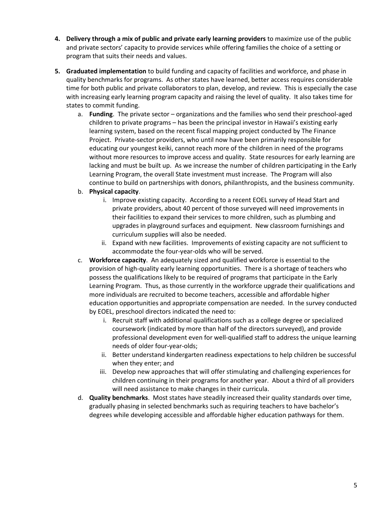- **4. Delivery through a mix of public and private early learning providers** to maximize use of the public and private sectors' capacity to provide services while offering families the choice of a setting or program that suits their needs and values.
- **5. Graduated implementation** to build funding and capacity of facilities and workforce, and phase in quality benchmarks for programs. As other states have learned, better access requires considerable time for both public and private collaborators to plan, develop, and review. This is especially the case with increasing early learning program capacity and raising the level of quality. It also takes time for states to commit funding.
	- a. **Funding**. The private sector organizations and the families who send their preschool-aged children to private programs – has been the principal investor in Hawaii's existing early learning system, based on the recent fiscal mapping project conducted by The Finance Project. Private-sector providers, who until now have been primarily responsible for educating our youngest keiki, cannot reach more of the children in need of the programs without more resources to improve access and quality. State resources for early learning are lacking and must be built up. As we increase the number of children participating in the Early Learning Program, the overall State investment must increase. The Program will also continue to build on partnerships with donors, philanthropists, and the business community.
	- b. **Physical capacity**.
		- i. Improve existing capacity. According to a recent EOEL survey of Head Start and private providers, about 40 percent of those surveyed will need improvements in their facilities to expand their services to more children, such as plumbing and upgrades in playground surfaces and equipment. New classroom furnishings and curriculum supplies will also be needed.
		- ii. Expand with new facilities. Improvements of existing capacity are not sufficient to accommodate the four-year-olds who will be served.
	- c. **Workforce capacity**. An adequately sized and qualified workforce is essential to the provision of high-quality early learning opportunities. There is a shortage of teachers who possess the qualifications likely to be required of programs that participate in the Early Learning Program. Thus, as those currently in the workforce upgrade their qualifications and more individuals are recruited to become teachers, accessible and affordable higher education opportunities and appropriate compensation are needed. In the survey conducted by EOEL, preschool directors indicated the need to:
		- i. Recruit staff with additional qualifications such as a college degree or specialized coursework (indicated by more than half of the directors surveyed), and provide professional development even for well-qualified staff to address the unique learning needs of older four-year-olds;
		- ii. Better understand kindergarten readiness expectations to help children be successful when they enter; and
		- iii. Develop new approaches that will offer stimulating and challenging experiences for children continuing in their programs for another year. About a third of all providers will need assistance to make changes in their curricula.
	- d. **Quality benchmarks**. Most states have steadily increased their quality standards over time, gradually phasing in selected benchmarks such as requiring teachers to have bachelor's degrees while developing accessible and affordable higher education pathways for them.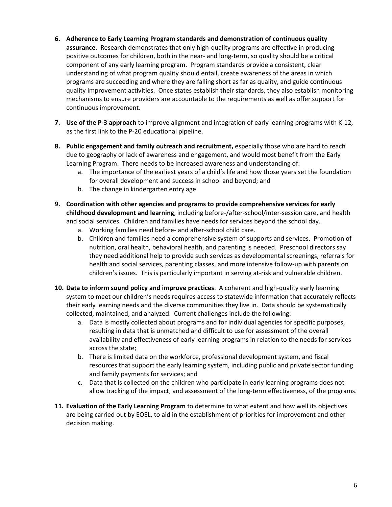- **6. Adherence to Early Learning Program standards and demonstration of continuous quality assurance**.Research demonstrates that only high-quality programs are effective in producing positive outcomes for children, both in the near- and long-term, so quality should be a critical component of any early learning program. Program standards provide a consistent, clear understanding of what program quality should entail, create awareness of the areas in which programs are succeeding and where they are falling short as far as quality, and guide continuous quality improvement activities. Once states establish their standards, they also establish monitoring mechanisms to ensure providers are accountable to the requirements as well as offer support for continuous improvement.
- **7. Use of the P-3 approach** to improve alignment and integration of early learning programs with K-12, as the first link to the P-20 educational pipeline.
- **8. Public engagement and family outreach and recruitment,** especially those who are hard to reach due to geography or lack of awareness and engagement, and would most benefit from the Early Learning Program. There needs to be increased awareness and understanding of:
	- a. The importance of the earliest years of a child's life and how those years set the foundation for overall development and success in school and beyond; and
	- b. The change in kindergarten entry age.
- **9. Coordination with other agencies and programs to provide comprehensive services for early childhood development and learning**, including before-/after-school/inter-session care, and health and social services. Children and families have needs for services beyond the school day.
	- a. Working families need before- and after-school child care.
	- b. Children and families need a comprehensive system of supports and services. Promotion of nutrition, oral health, behavioral health, and parenting is needed. Preschool directors say they need additional help to provide such services as developmental screenings, referrals for health and social services, parenting classes, and more intensive follow-up with parents on children's issues. This is particularly important in serving at-risk and vulnerable children.
- **10. Data to inform sound policy and improve practices**. A coherent and high-quality early learning system to meet our children's needs requires access to statewide information that accurately reflects their early learning needs and the diverse communities they live in. Data should be systematically collected, maintained, and analyzed. Current challenges include the following:
	- a. Data is mostly collected about programs and for individual agencies for specific purposes, resulting in data that is unmatched and difficult to use for assessment of the overall availability and effectiveness of early learning programs in relation to the needs for services across the state;
	- b. There is limited data on the workforce, professional development system, and fiscal resources that support the early learning system, including public and private sector funding and family payments for services; and
	- c. Data that is collected on the children who participate in early learning programs does not allow tracking of the impact, and assessment of the long-term effectiveness, of the programs.
- **11. Evaluation of the Early Learning Program** to determine to what extent and how well its objectives are being carried out by EOEL, to aid in the establishment of priorities for improvement and other decision making.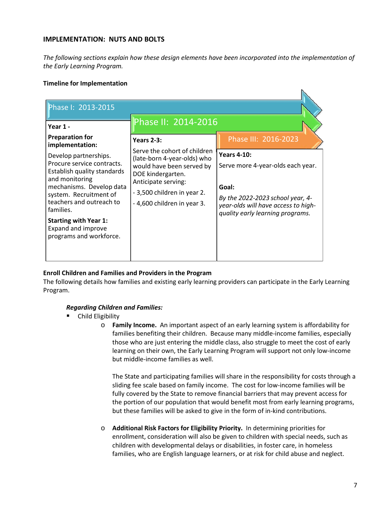# **IMPLEMENTATION: NUTS AND BOLTS**

*The following sections explain how these design elements have been incorporated into the implementation of the Early Learning Program.*

 $\mathbb{N}$ 

#### **Timeline for Implementation**

| Phase I: 2013-2015                                                                                                                                                                                  |                                                                                                                                                                                                   |                                                                                                                                                                                 |  |  |
|-----------------------------------------------------------------------------------------------------------------------------------------------------------------------------------------------------|---------------------------------------------------------------------------------------------------------------------------------------------------------------------------------------------------|---------------------------------------------------------------------------------------------------------------------------------------------------------------------------------|--|--|
| Year 1 -                                                                                                                                                                                            | Phase II: 2014-2016                                                                                                                                                                               |                                                                                                                                                                                 |  |  |
| <b>Preparation for</b><br>implementation:                                                                                                                                                           | <b>Years 2-3:</b>                                                                                                                                                                                 | Phase III: 2016-2023                                                                                                                                                            |  |  |
| Develop partnerships.<br>Procure service contracts.<br>Establish quality standards<br>and monitoring<br>mechanisms. Develop data<br>system. Recruitment of<br>teachers and outreach to<br>families. | Serve the cohort of children<br>(late-born 4-year-olds) who<br>would have been served by<br>DOE kindergarten.<br>Anticipate serving:<br>- 3,500 children in year 2.<br>-4,600 children in year 3. | <b>Years 4-10:</b><br>Serve more 4-year-olds each year.<br>Goal:<br>By the 2022-2023 school year, 4-<br>year-olds will have access to high-<br>quality early learning programs. |  |  |
| <b>Starting with Year 1:</b><br><b>Expand and improve</b><br>programs and workforce.                                                                                                                |                                                                                                                                                                                                   |                                                                                                                                                                                 |  |  |

# **Enroll Children and Families and Providers in the Program**

The following details how families and existing early learning providers can participate in the Early Learning Program.

# *Regarding Children and Families:*

- Child Eligibility
	- o **Family Income.**An important aspect of an early learning system is affordability for families benefiting their children. Because many middle-income families, especially those who are just entering the middle class, also struggle to meet the cost of early learning on their own, the Early Learning Program will support not only low-income but middle-income families as well.

The State and participating families will share in the responsibility for costs through a sliding fee scale based on family income. The cost for low-income families will be fully covered by the State to remove financial barriers that may prevent access for the portion of our population that would benefit most from early learning programs, but these families will be asked to give in the form of in-kind contributions.

o **Additional Risk Factors for Eligibility Priority.**In determining priorities for enrollment, consideration will also be given to children with special needs, such as children with developmental delays or disabilities, in foster care, in homeless families, who are English language learners, or at risk for child abuse and neglect.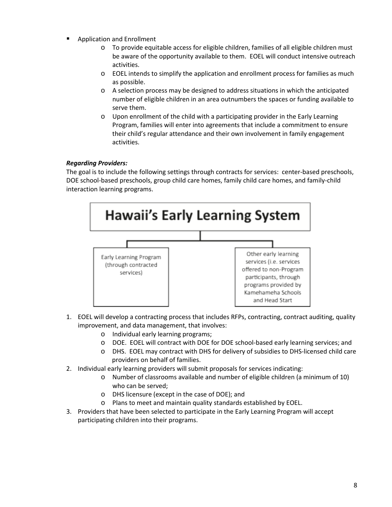- Application and Enrollment
	- o To provide equitable access for eligible children, families of all eligible children must be aware of the opportunity available to them. EOEL will conduct intensive outreach activities.
	- o EOEL intends to simplify the application and enrollment process for families as much as possible.
	- o A selection process may be designed to address situations in which the anticipated number of eligible children in an area outnumbers the spaces or funding available to serve them.
	- o Upon enrollment of the child with a participating provider in the Early Learning Program, families will enter into agreements that include a commitment to ensure their child's regular attendance and their own involvement in family engagement activities.

# *Regarding Providers:*

The goal is to include the following settings through contracts for services: center-based preschools, DOE school-based preschools, group child care homes, family child care homes, and family-child interaction learning programs.



- 1. EOEL will develop a contracting process that includes RFPs, contracting, contract auditing, quality improvement, and data management, that involves:
	- o Individual early learning programs;
	- o DOE. EOEL will contract with DOE for DOE school-based early learning services; and
	- o DHS. EOEL may contract with DHS for delivery of subsidies to DHS-licensed child care providers on behalf of families.
- 2. Individual early learning providers will submit proposals for services indicating:
	- o Number of classrooms available and number of eligible children (a minimum of 10) who can be served;
	- o DHS licensure (except in the case of DOE); and
	- o Plans to meet and maintain quality standards established by EOEL.
- 3. Providers that have been selected to participate in the Early Learning Program will accept participating children into their programs.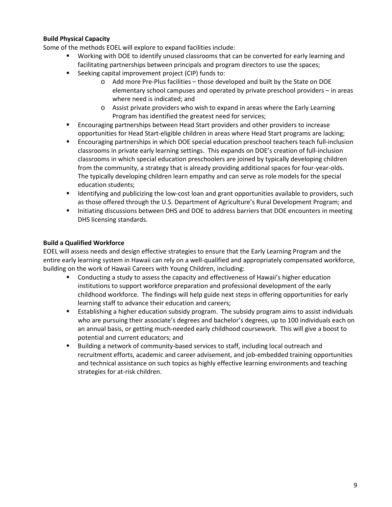# **Build Physical Capacity**

Some of the methods EOEL will explore to expand facilities include:

- Working with DOE to identify unused classrooms that can be converted for early learning and facilitating partnerships between principals and program directors to use the spaces;
- Seeking capital improvement project (CIP) funds to:
	- o Add more Pre-Plus facilities those developed and built by the State on DOE elementary school campuses and operated by private preschool providers – in areas where need is indicated; and
	- o Assist private providers who wish to expand in areas where the Early Learning Program has identified the greatest need for services;
- Encouraging partnerships between Head Start providers and other providers to increase opportunities for Head Start-eligible children in areas where Head Start programs are lacking;
- Encouraging partnerships in which DOE special education preschool teachers teach full-inclusion classrooms in private early learning settings. This expands on DOE's creation of full-inclusion classrooms in which special education preschoolers are joined by typically developing children from the community, a strategy that is already providing additional spaces for four-year-olds. The typically developing children learn empathy and can serve as role models for the special education students;
- **If all identifying and publicizing the low-cost loan and grant opportunities available to providers, such all i** as those offered through the U.S. Department of Agriculture's Rural Development Program; and
- Initiating discussions between DHS and DOE to address barriers that DOE encounters in meeting DHS licensing standards.

# **Build a Qualified Workforce**

EOEL will assess needs and design effective strategies to ensure that the Early Learning Program and the entire early learning system in Hawaii can rely on a well-qualified and appropriately compensated workforce, building on the work of Hawaii Careers with Young Children, including:

- Conducting a study to assess the capacity and effectiveness of Hawaii's higher education institutions to support workforce preparation and professional development of the early childhood workforce. The findings will help guide next steps in offering opportunities for early learning staff to advance their education and careers;
- **Examblishing a higher education subsidy program. The subsidy program aims to assist individuals** who are pursuing their associate's degrees and bachelor's degrees, up to 100 individuals each on an annual basis, or getting much-needed early childhood coursework. This will give a boost to potential and current educators; and
- Building a network of community-based services to staff, including local outreach and recruitment efforts, academic and career advisement, and job-embedded training opportunities and technical assistance on such topics as highly effective learning environments and teaching strategies for at-risk children.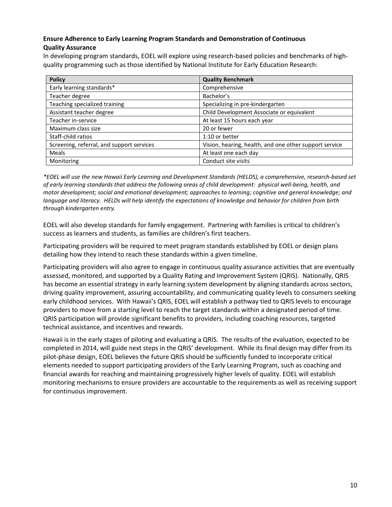# **Ensure Adherence to Early Learning Program Standards and Demonstration of Continuous Quality Assurance**

In developing program standards, EOEL will explore using research-based policies and benchmarks of highquality programming such as those identified by National Institute for Early Education Research:

| <b>Policy</b>                             | <b>Quality Benchmark</b>                               |
|-------------------------------------------|--------------------------------------------------------|
| Early learning standards*                 | Comprehensive                                          |
| Teacher degree                            | Bachelor's                                             |
| Teaching specialized training             | Specializing in pre-kindergarten                       |
| Assistant teacher degree                  | Child Development Associate or equivalent              |
| Teacher in-service                        | At least 15 hours each year                            |
| Maximum class size                        | 20 or fewer                                            |
| Staff-child ratios                        | 1:10 or better                                         |
| Screening, referral, and support services | Vision, hearing, health, and one other support service |
| <b>Meals</b>                              | At least one each day                                  |
| Monitoring                                | Conduct site visits                                    |

*\*EOEL will use the new Hawaii Early Learning and Development Standards (HELDS), a comprehensive, research-based set of early learning standards that address the following areas of child development: physical well-being, health, and motor development; social and emotional development; approaches to learning; cognitive and general knowledge; and*  language and literacy. HELDs will help identify the expectations of knowledge and behavior for children from birth *through kindergarten entry.* 

EOEL will also develop standards for family engagement. Partnering with families is critical to children's success as learners and students, as families are children's first teachers.

Participating providers will be required to meet program standards established by EOEL or design plans detailing how they intend to reach these standards within a given timeline.

Participating providers will also agree to engage in continuous quality assurance activities that are eventually assessed, monitored, and supported by a Quality Rating and Improvement System (QRIS). Nationally, QRIS has become an essential strategy in early learning system development by aligning standards across sectors, driving quality improvement, assuring accountability, and communicating quality levels to consumers seeking early childhood services. With Hawaii's QRIS, EOEL will establish a pathway tied to QRIS levels to encourage providers to move from a starting level to reach the target standards within a designated period of time. QRIS participation will provide significant benefits to providers, including coaching resources, targeted technical assistance, and incentives and rewards.

Hawaii is in the early stages of piloting and evaluating a QRIS. The results of the evaluation, expected to be completed in 2014, will guide next steps in the QRIS' development. While its final design may differ from its pilot-phase design, EOEL believes the future QRIS should be sufficiently funded to incorporate critical elements needed to support participating providers of the Early Learning Program, such as coaching and financial awards for reaching and maintaining progressively higher levels of quality. EOEL will establish monitoring mechanisms to ensure providers are accountable to the requirements as well as receiving support for continuous improvement.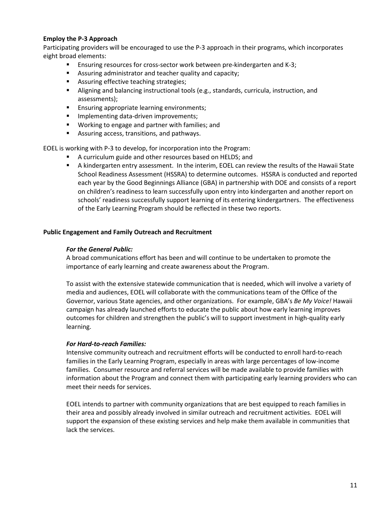# **Employ the P-3 Approach**

Participating providers will be encouraged to use the P-3 approach in their programs, which incorporates eight broad elements:

- Ensuring resources for cross-sector work between pre-kindergarten and K-3;
- Assuring administrator and teacher quality and capacity;
- Assuring effective teaching strategies;
- Aligning and balancing instructional tools (e.g., standards, curricula, instruction, and assessments);
- **Ensuring appropriate learning environments;**
- **IMPLEMENTIGE META-DRIGHTER** Improvements;
- Working to engage and partner with families; and
- **Assuring access, transitions, and pathways.**

EOEL is working with P-3 to develop, for incorporation into the Program:

- A curriculum guide and other resources based on HELDS; and
- A kindergarten entry assessment. In the interim, EOEL can review the results of the Hawaii State School Readiness Assessment (HSSRA) to determine outcomes. HSSRA is conducted and reported each year by the Good Beginnings Alliance (GBA) in partnership with DOE and consists of a report on children's readiness to learn successfully upon entry into kindergarten and another report on schools' readiness successfully support learning of its entering kindergartners. The effectiveness of the Early Learning Program should be reflected in these two reports.

# **Public Engagement and Family Outreach and Recruitment**

# *For the General Public:*

A broad communications effort has been and will continue to be undertaken to promote the importance of early learning and create awareness about the Program.

To assist with the extensive statewide communication that is needed, which will involve a variety of media and audiences, EOEL will collaborate with the communications team of the Office of the Governor, various State agencies, and other organizations. For example, GBA's *Be My Voice!* Hawaii campaign has already launched efforts to educate the public about how early learning improves outcomes for children and strengthen the public's will to support investment in high-quality early learning.

# *For Hard-to-reach Families:*

Intensive community outreach and recruitment efforts will be conducted to enroll hard-to-reach families in the Early Learning Program, especially in areas with large percentages of low-income families. Consumer resource and referral services will be made available to provide families with information about the Program and connect them with participating early learning providers who can meet their needs for services.

EOEL intends to partner with community organizations that are best equipped to reach families in their area and possibly already involved in similar outreach and recruitment activities. EOEL will support the expansion of these existing services and help make them available in communities that lack the services.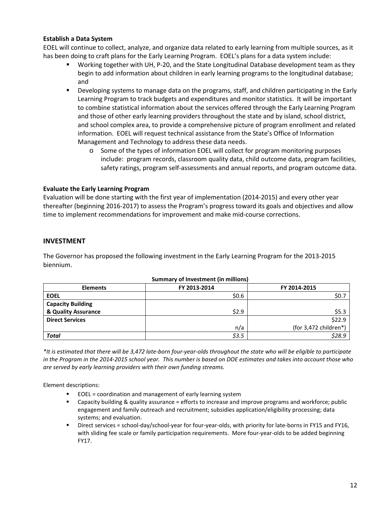# **Establish a Data System**

EOEL will continue to collect, analyze, and organize data related to early learning from multiple sources, as it has been doing to craft plans for the Early Learning Program. EOEL's plans for a data system include:

- Working together with UH, P-20, and the State Longitudinal Database development team as they begin to add information about children in early learning programs to the longitudinal database; and
- Developing systems to manage data on the programs, staff, and children participating in the Early Learning Program to track budgets and expenditures and monitor statistics. It will be important to combine statistical information about the services offered through the Early Learning Program and those of other early learning providers throughout the state and by island, school district, and school complex area, to provide a comprehensive picture of program enrollment and related information. EOEL will request technical assistance from the State's Office of Information Management and Technology to address these data needs.
	- o Some of the types of information EOEL will collect for program monitoring purposes include: program records, classroom quality data, child outcome data, program facilities, safety ratings, program self-assessments and annual reports, and program outcome data.

# **Evaluate the Early Learning Program**

Evaluation will be done starting with the first year of implementation (2014-2015) and every other year thereafter (beginning 2016-2017) to assess the Program's progress toward its goals and objectives and allow time to implement recommendations for improvement and make mid-course corrections.

# **INVESTMENT**

The Governor has proposed the following investment in the Early Learning Program for the 2013-2015 biennium.

| <b>Elements</b>          | FY 2013-2014 | FY 2014-2015            |
|--------------------------|--------------|-------------------------|
| <b>EOEL</b>              | \$0.6        | \$0.7                   |
| <b>Capacity Building</b> |              |                         |
| & Quality Assurance      | \$2.9        | \$5.3                   |
| <b>Direct Services</b>   |              | \$22.9                  |
|                          | n/a          | (for $3,472$ children*) |
| <b>Total</b>             | \$3.5        | \$28.9                  |

#### **Summary of Investment (in millions)**

*\*It is estimated that there will be 3,472 late-born four-year-olds throughout the state who will be eligible to participate in the Program in the 2014-2015 school year. This number is based on DOE estimates and takes into account those who are served by early learning providers with their own funding streams.*

Element descriptions:

- EOEL = coordination and management of early learning system
- Capacity building & quality assurance = efforts to increase and improve programs and workforce; public engagement and family outreach and recruitment; subsidies application/eligibility processing; data systems; and evaluation.
- Direct services = school-day/school-year for four-year-olds, with priority for late-borns in FY15 and FY16, with sliding fee scale or family participation requirements. More four-year-olds to be added beginning FY17.